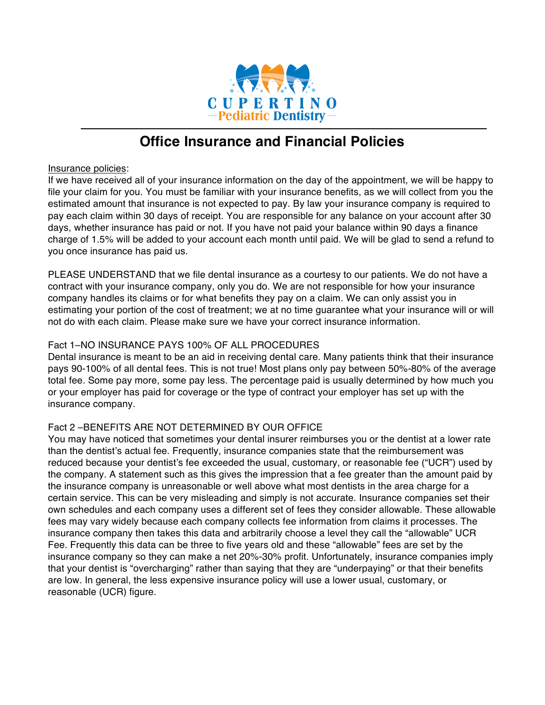

# **Office Insurance and Financial Policies**

#### Insurance policies:

If we have received all of your insurance information on the day of the appointment, we will be happy to file your claim for you. You must be familiar with your insurance benefits, as we will collect from you the estimated amount that insurance is not expected to pay. By law your insurance company is required to pay each claim within 30 days of receipt. You are responsible for any balance on your account after 30 days, whether insurance has paid or not. If you have not paid your balance within 90 days a finance charge of 1.5% will be added to your account each month until paid. We will be glad to send a refund to you once insurance has paid us.

PLEASE UNDERSTAND that we file dental insurance as a courtesy to our patients. We do not have a contract with your insurance company, only you do. We are not responsible for how your insurance company handles its claims or for what benefits they pay on a claim. We can only assist you in estimating your portion of the cost of treatment; we at no time guarantee what your insurance will or will not do with each claim. Please make sure we have your correct insurance information.

## Fact 1–NO INSURANCE PAYS 100% OF ALL PROCEDURES

Dental insurance is meant to be an aid in receiving dental care. Many patients think that their insurance pays 90-100% of all dental fees. This is not true! Most plans only pay between 50%-80% of the average total fee. Some pay more, some pay less. The percentage paid is usually determined by how much you or your employer has paid for coverage or the type of contract your employer has set up with the insurance company.

## Fact 2 –BENEFITS ARE NOT DETERMINED BY OUR OFFICE

You may have noticed that sometimes your dental insurer reimburses you or the dentist at a lower rate than the dentist's actual fee. Frequently, insurance companies state that the reimbursement was reduced because your dentist's fee exceeded the usual, customary, or reasonable fee ("UCR") used by the company. A statement such as this gives the impression that a fee greater than the amount paid by the insurance company is unreasonable or well above what most dentists in the area charge for a certain service. This can be very misleading and simply is not accurate. Insurance companies set their own schedules and each company uses a different set of fees they consider allowable. These allowable fees may vary widely because each company collects fee information from claims it processes. The insurance company then takes this data and arbitrarily choose a level they call the "allowable" UCR Fee. Frequently this data can be three to five years old and these "allowable" fees are set by the insurance company so they can make a net 20%-30% profit. Unfortunately, insurance companies imply that your dentist is "overcharging" rather than saying that they are "underpaying" or that their benefits are low. In general, the less expensive insurance policy will use a lower usual, customary, or reasonable (UCR) figure.